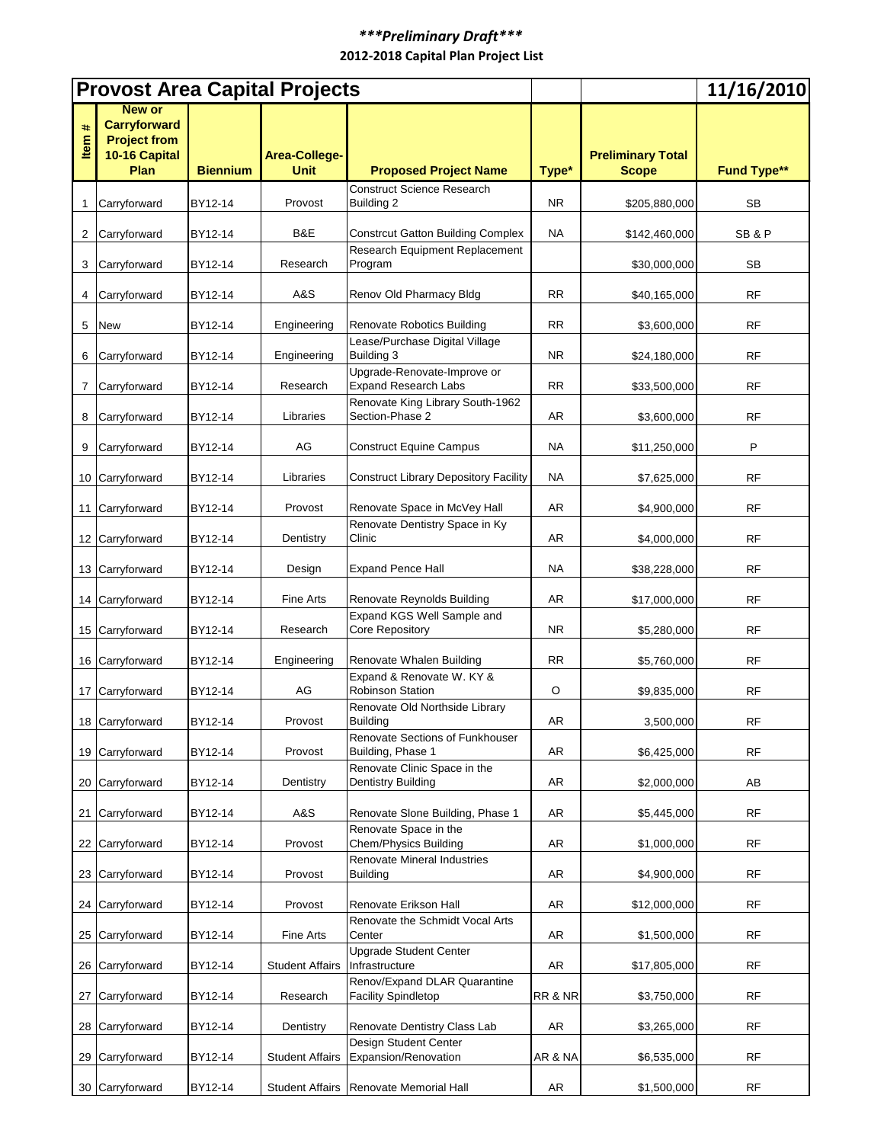## *\*\*\*Preliminary Draft\*\*\**  **2012-2018 Capital Plan Project List**

|       | <b>Provost Area Capital Projects</b>                                          |                 |                              |                                                            |           | 11/16/2010               |                    |
|-------|-------------------------------------------------------------------------------|-----------------|------------------------------|------------------------------------------------------------|-----------|--------------------------|--------------------|
| ltem# | New or<br><b>Carryforward</b><br><b>Project from</b><br>10-16 Capital<br>Plan | <b>Biennium</b> | Area-College-<br><b>Unit</b> | <b>Proposed Project Name</b>                               |           | <b>Preliminary Total</b> |                    |
|       |                                                                               |                 |                              | <b>Construct Science Research</b>                          | Type*     | <b>Scope</b>             | <b>Fund Type**</b> |
| 1     | Carryforward                                                                  | BY12-14         | Provost                      | Building 2                                                 | NR.       | \$205,880,000            | SB                 |
| 2     | Carryforward                                                                  | BY12-14         | B&E                          | <b>Constrcut Gatton Building Complex</b>                   | <b>NA</b> | \$142,460,000            | SB&P               |
| 3     | Carryforward                                                                  | BY12-14         | Research                     | Research Equipment Replacement<br>Program                  |           | \$30,000,000             | SB                 |
| 4     | Carryforward                                                                  | BY12-14         | A&S                          | Renov Old Pharmacy Bldg                                    | RR.       | \$40,165,000             | RF                 |
| 5     | <b>New</b>                                                                    | BY12-14         | Engineering                  | <b>Renovate Robotics Building</b>                          | <b>RR</b> | \$3,600,000              | RF                 |
| 6     | Carryforward                                                                  | BY12-14         | Engineering                  | Lease/Purchase Digital Village<br>Building 3               | NR.       | \$24,180,000             | RF                 |
| 7     | Carryforward                                                                  | BY12-14         | Research                     | Upgrade-Renovate-Improve or<br><b>Expand Research Labs</b> | <b>RR</b> | \$33,500,000             | RF                 |
| 8     | Carryforward                                                                  | BY12-14         | Libraries                    | Renovate King Library South-1962<br>Section-Phase 2        | AR        | \$3,600,000              | RF                 |
| 9     | Carryforward                                                                  | BY12-14         | AG                           | <b>Construct Equine Campus</b>                             | NA        | \$11,250,000             | P                  |
|       | 10 Carryforward                                                               | BY12-14         | Libraries                    | <b>Construct Library Depository Facility</b>               | <b>NA</b> | \$7,625,000              | RF                 |
| 11    | Carryforward                                                                  | BY12-14         | Provost                      | Renovate Space in McVey Hall                               | AR        | \$4,900,000              | RF                 |
|       | 12 Carryforward                                                               | BY12-14         | Dentistry                    | Renovate Dentistry Space in Ky<br>Clinic                   | AR        | \$4,000,000              | RF                 |
|       | 13 Carryforward                                                               | BY12-14         | Design                       | <b>Expand Pence Hall</b>                                   | NA        | \$38,228,000             | RF                 |
| 14    | Carryforward                                                                  | BY12-14         | <b>Fine Arts</b>             | Renovate Reynolds Building                                 | AR        | \$17,000,000             | RF                 |
|       | 15 Carryforward                                                               | BY12-14         | Research                     | Expand KGS Well Sample and<br>Core Repository              | NR.       | \$5,280,000              | <b>RF</b>          |
|       | 16 Carryforward                                                               | BY12-14         | Engineering                  | Renovate Whalen Building                                   | <b>RR</b> | \$5,760,000              | RF                 |
|       | 17 Carryforward                                                               | BY12-14         | AG                           | Expand & Renovate W. KY &<br><b>Robinson Station</b>       | O         | \$9,835,000              | RF                 |
|       | 18 Carryforward                                                               | BY12-14         | Provost                      | Renovate Old Northside Library<br><b>Building</b>          | AR        | 3,500,000                | $\sf RF$           |
|       | 19 Carryforward                                                               | BY12-14         | Provost                      | Renovate Sections of Funkhouser<br>Building, Phase 1       | AR        | \$6,425,000              | <b>RF</b>          |
|       | 20 Carryforward                                                               | BY12-14         | Dentistry                    | Renovate Clinic Space in the<br><b>Dentistry Building</b>  | AR        | \$2,000,000              | AB                 |
|       | 21 Carryforward                                                               | BY12-14         | A&S                          | Renovate Slone Building, Phase 1                           | AR        | \$5,445,000              | <b>RF</b>          |
| 22    | Carryforward                                                                  | BY12-14         | Provost                      | Renovate Space in the<br>Chem/Physics Building             | AR        | \$1,000,000              | <b>RF</b>          |
|       | 23 Carryforward                                                               | BY12-14         | Provost                      | Renovate Mineral Industries<br><b>Building</b>             | AR        | \$4,900,000              | RF                 |
|       | 24 Carryforward                                                               | BY12-14         | Provost                      | Renovate Erikson Hall                                      | AR        | \$12,000,000             | <b>RF</b>          |
|       | 25 Carryforward                                                               | BY12-14         | Fine Arts                    | Renovate the Schmidt Vocal Arts<br>Center                  | AR        | \$1,500,000              | RF                 |
|       | 26 Carryforward                                                               | BY12-14         | <b>Student Affairs</b>       | <b>Upgrade Student Center</b><br>Infrastructure            | AR        | \$17,805,000             | RF                 |
| 27    | Carryforward                                                                  | BY12-14         | Research                     | Renov/Expand DLAR Quarantine<br><b>Facility Spindletop</b> | RR & NR   | \$3,750,000              | RF                 |
|       | 28 Carryforward                                                               | BY12-14         | Dentistry                    | Renovate Dentistry Class Lab                               | AR        | \$3,265,000              | <b>RF</b>          |
|       | 29 Carryforward                                                               | BY12-14         | <b>Student Affairs</b>       | Design Student Center<br>Expansion/Renovation              | AR & NA   | \$6,535,000              | RF                 |
|       | 30 Carryforward                                                               | BY12-14         | <b>Student Affairs</b>       | Renovate Memorial Hall                                     | AR        | \$1,500,000              | RF                 |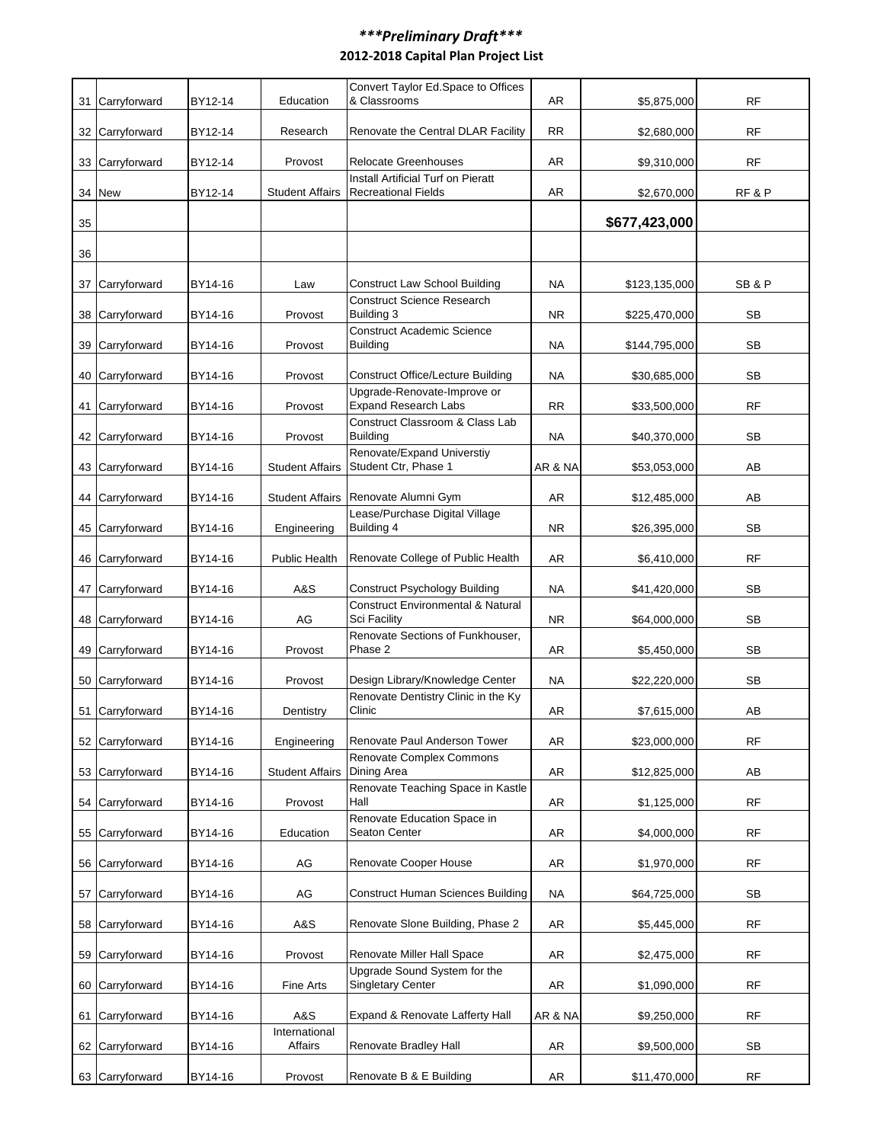## *\*\*\*Preliminary Draft\*\*\**  **2012-2018 Capital Plan Project List**

|    |                 |         |                          | Convert Taylor Ed.Space to Offices                               |            |               |           |
|----|-----------------|---------|--------------------------|------------------------------------------------------------------|------------|---------------|-----------|
| 31 | Carryforward    | BY12-14 | Education                | & Classrooms                                                     | AR         | \$5,875,000   | <b>RF</b> |
| 32 | Carryforward    | BY12-14 | Research                 | Renovate the Central DLAR Facility                               | <b>RR</b>  | \$2,680,000   | RF        |
| 33 | Carryforward    | BY12-14 | Provost                  | <b>Relocate Greenhouses</b>                                      | AR         | \$9,310,000   | RF        |
| 34 | <b>New</b>      | BY12-14 | <b>Student Affairs</b>   | Install Artificial Turf on Pieratt<br><b>Recreational Fields</b> | AR         | \$2,670,000   | RF&P      |
| 35 |                 |         |                          |                                                                  |            | \$677,423,000 |           |
| 36 |                 |         |                          |                                                                  |            |               |           |
| 37 | Carryforward    | BY14-16 | Law                      | <b>Construct Law School Building</b>                             | <b>NA</b>  | \$123,135,000 | SB&P      |
| 38 | Carryforward    | BY14-16 | Provost                  | <b>Construct Science Research</b><br>Building 3                  | NR.        | \$225,470,000 | SB        |
| 39 | Carryforward    | BY14-16 | Provost                  | <b>Construct Academic Science</b><br><b>Building</b>             | NA         | \$144,795,000 | SB        |
| 40 | Carryforward    | BY14-16 | Provost                  | <b>Construct Office/Lecture Building</b>                         | <b>NA</b>  | \$30,685,000  | <b>SB</b> |
| 41 | Carryforward    | BY14-16 | Provost                  | Upgrade-Renovate-Improve or<br><b>Expand Research Labs</b>       | <b>RR</b>  | \$33,500,000  | <b>RF</b> |
| 42 | Carryforward    | BY14-16 | Provost                  | Construct Classroom & Class Lab<br><b>Building</b>               | <b>NA</b>  | \$40,370,000  | <b>SB</b> |
|    | 43 Carryforward | BY14-16 | <b>Student Affairs</b>   | Renovate/Expand Universtiy<br>Student Ctr, Phase 1               | AR & NA    | \$53,053,000  | AB        |
| 44 | Carryforward    | BY14-16 | <b>Student Affairs</b>   | Renovate Alumni Gym                                              | AR         | \$12,485,000  | AB        |
|    | 45 Carryforward | BY14-16 | Engineering              | Lease/Purchase Digital Village<br>Building 4                     | NR.        | \$26,395,000  | SB        |
|    | 46 Carryforward | BY14-16 | <b>Public Health</b>     | Renovate College of Public Health                                | AR         | \$6,410,000   | RF        |
| 47 | Carryforward    | BY14-16 | A&S                      | <b>Construct Psychology Building</b>                             | NA         | \$41,420,000  | SB        |
| 48 | Carryforward    | BY14-16 | AG                       | <b>Construct Environmental &amp; Natural</b><br>Sci Facility     | NR.        | \$64,000,000  | SB        |
|    | 49 Carryforward | BY14-16 | Provost                  | Renovate Sections of Funkhouser,<br>Phase 2                      | AR         | \$5,450,000   | SB        |
| 50 | Carryforward    | BY14-16 | Provost                  | Design Library/Knowledge Center                                  | NA         | \$22,220,000  | SB        |
|    | 51 Carryforward | BY14-16 | Dentistry                | Renovate Dentistry Clinic in the Ky<br>Clinic                    | AR         | \$7,615,000   | AB        |
|    | 52 Carryforward | BY14-16 | Engineering              | Renovate Paul Anderson Tower                                     | AR         | \$23,000,000  | RF        |
| 53 | Carryforward    | BY14-16 | <b>Student Affairs</b>   | Renovate Complex Commons<br>Dining Area                          | AR         | \$12,825,000  | AB        |
| 54 | Carryforward    | BY14-16 | Provost                  | Renovate Teaching Space in Kastle<br>Hall                        | AR         | \$1,125,000   | <b>RF</b> |
| 55 | Carryforward    | BY14-16 | Education                | Renovate Education Space in<br>Seaton Center                     | AR         | \$4,000,000   | <b>RF</b> |
| 56 | Carryforward    | BY14-16 | AG                       | Renovate Cooper House                                            | AR         | \$1,970,000   | <b>RF</b> |
| 57 | Carryforward    | BY14-16 | AG                       | <b>Construct Human Sciences Building</b>                         | NA         | \$64,725,000  | SB        |
| 58 | Carryforward    | BY14-16 | A&S                      | Renovate Slone Building, Phase 2                                 | AR         | \$5,445,000   | RF        |
| 59 | Carryforward    | BY14-16 | Provost                  | Renovate Miller Hall Space                                       | AR         | \$2,475,000   | <b>RF</b> |
| 60 | Carryforward    | BY14-16 | Fine Arts                | Upgrade Sound System for the<br><b>Singletary Center</b>         | AR         | \$1,090,000   | RF        |
| 61 | Carryforward    | BY14-16 | A&S                      | Expand & Renovate Lafferty Hall                                  | AR & NA    | \$9,250,000   | RF        |
| 62 | Carryforward    | BY14-16 | International<br>Affairs | Renovate Bradley Hall                                            | AR         | \$9,500,000   | SВ        |
|    | 63 Carryforward | BY14-16 | Provost                  | Renovate B & E Building                                          | ${\sf AR}$ | \$11,470,000  | RF        |